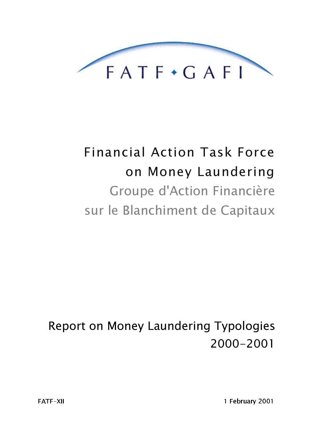

# **Financial Action Task Force** on Money Laundering Groupe d'Action Financière sur le Blanchiment de Capitaux

Report on Money Laundering Typologies 2000-2001

1 February 2001

**FATF-XII**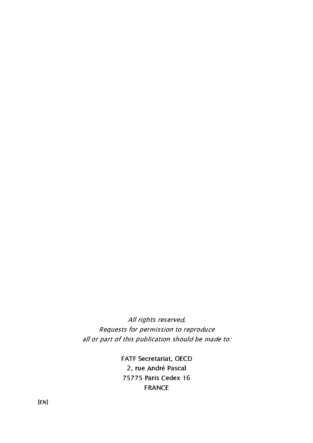All rights reserved. Requests for permission to reproduce all or part of this publication should be made to:

> FATF Secretariat, OECD 2, rue André Pascal 75775 Paris Cedex 16 **FRANCE**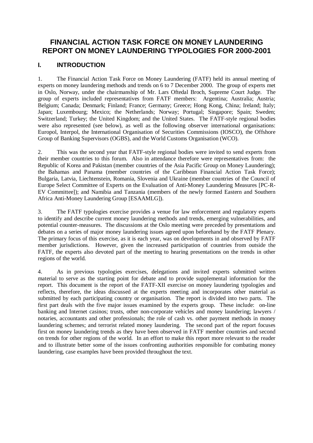# **FINANCIAL ACTION TASK FORCE ON MONEY LAUNDERING REPORT ON MONEY LAUNDERING TYPOLOGIES FOR 2000-2001**

## **I. INTRODUCTION**

1. The Financial Action Task Force on Money Laundering (FATF) held its annual meeting of experts on money laundering methods and trends on 6 to 7 December 2000. The group of experts met in Oslo, Norway, under the chairmanship of Mr. Lars Oftedal Broch, Supreme Court Judge. The group of experts included representatives from FATF members: Argentina; Australia; Austria; Belgium; Canada; Denmark; Finland; France; Germany; Greece; Hong Kong, China; Ireland; Italy; Japan; Luxembourg; Mexico; the Netherlands; Norway; Portugal; Singapore; Spain; Sweden; Switzerland; Turkey; the United Kingdom; and the United States. The FATF-style regional bodies were also represented (see below), as well as the following observer international organisations: Europol, Interpol, the International Organisation of Securities Commissions (IOSCO), the Offshore Group of Banking Supervisors (OGBS), and the World Customs Organisation (WCO).

2. This was the second year that FATF-style regional bodies were invited to send experts from their member countries to this forum. Also in attendance therefore were representatives from: the Republic of Korea and Pakistan (member countries of the Asia Pacific Group on Money Laundering); the Bahamas and Panama (member countries of the Caribbean Financial Action Task Force); Bulgaria, Latvia, Liechtenstein, Romania, Slovenia and Ukraine (member countries of the Council of Europe Select Committee of Experts on the Evaluation of Anti-Money Laundering Measures [PC-R-EV Committee]); and Namibia and Tanzania (members of the newly formed Eastern and Southern Africa Anti-Money Laundering Group [ESAAMLG]).

3. The FATF typologies exercise provides a venue for law enforcement and regulatory experts to identify and describe current money laundering methods and trends, emerging vulnerabilities, and potential counter-measures. The discussions at the Oslo meeting were preceded by presentations and debates on a series of major money laundering issues agreed upon beforehand by the FATF Plenary. The primary focus of this exercise, as it is each year, was on developments in and observed by FATF member jurisdictions. However, given the increased participation of countries from outside the FATF, the experts also devoted part of the meeting to hearing presentations on the trends in other regions of the world.

4. As in previous typologies exercises, delegations and invited experts submitted written material to serve as the starting point for debate and to provide supplemental information for the report. This document is the report of the FATF-XII exercise on money laundering typologies and reflects, therefore, the ideas discussed at the experts meeting and incorporates other material as submitted by each participating country or organisation. The report is divided into two parts. The first part deals with the five major issues examined by the experts group. These include: on-line banking and Internet casinos; trusts, other non-corporate vehicles and money laundering; lawyers / notaries, accountants and other professionals; the role of cash vs. other payment methods in money laundering schemes; and terrorist related money laundering. The second part of the report focuses first on money laundering trends as they have been observed in FATF member countries and second on trends for other regions of the world. In an effort to make this report more relevant to the reader and to illustrate better some of the issues confronting authorities responsible for combating money laundering, case examples have been provided throughout the text.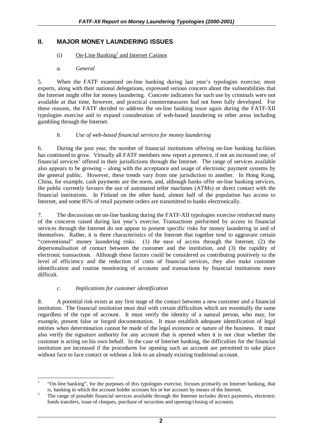# **II. MAJOR MONEY LAUNDERING ISSUES**

## $(i)$  On-Line Banking<sup>1</sup> and Internet Casinos

## *a. General*

5. When the FATF examined on-line banking during last year's typologies exercise, most experts, along with their national delegations, expressed serious concern about the vulnerabilities that the Internet might offer for money laundering. Concrete indicators for such use by criminals were not available at that time, however, and practical countermeasures had not been fully developed. For these reasons, the FATF decided to address the on-line banking issue again during the FATF-XII typologies exercise and to expand consideration of web-based laundering to other areas including gambling through the Internet.

## *b. Use of web-based financial services for money laundering*

6. During the past year, the number of financial institutions offering on-line banking facilities has continued to grow. Virtually all FATF members now report a presence, if not an increased one, of financial services<sup>2</sup> offered in their jurisdictions through the Internet. The range of services available also appears to be growing – along with the acceptance and usage of electronic payment systems by the general public. However, these trends vary from one jurisdiction to another. In Hong Kong, China, for example, cash payments are the norm, and, although banks offer on-line banking services, the public currently favours the use of automated teller machines (ATMs) or direct contact with the financial institutions. In Finland on the other hand, almost half of the population has access to Internet, and some 85% of retail payment orders are transmitted to banks electronically.

7. The discussions on on-line banking during the FATF-XII typologies exercise reinforced many of the concerns raised during last year's exercise. Transactions performed by access to financial services through the Internet do not appear to present specific risks for money laundering in and of themselves. Rather, it is three characteristics of the Internet that together tend to aggravate certain "conventional" money laundering risks: (1) the ease of access through the Internet, (2) the depersonalisation of contact between the customer and the institution, and (3) the rapidity of electronic transactions. Although these factors could be considered as contributing positively to the level of efficiency and the reduction of costs of financial services, they also make customer identification and routine monitoring of accounts and transactions by financial institutions more difficult.

## *c. Implications for customer identification*

8. A potential risk exists at any first stage of the contact between a new customer and a financial institution. The financial institution must deal with certain difficulties which are essentially the same regardless of the type of account. It must verify the identity of a natural person, who may, for example, present false or forged documentation. It must establish adequate identification of legal entities when determination cannot be made of the legal existence or nature of the business. It must also verify the signature authority for any account that is opened when it is not clear whether the customer is acting on his own behalf. In the case of Internet banking, the difficulties for the financial institution are increased if the procedures for opening such an account are permitted to take place without face to face contact or without a link to an already existing traditional account.

 $\overline{a}$ 1 "On-line banking", for the purposes of this typologies exercise, focuses primarily on Internet banking, that is, banking in which the account holder accesses his or her account by means of the Internet.

The range of possible financial services available through the Internet includes direct payments, electronic funds transfers, issue of cheques, purchase of securities and opening/closing of accounts.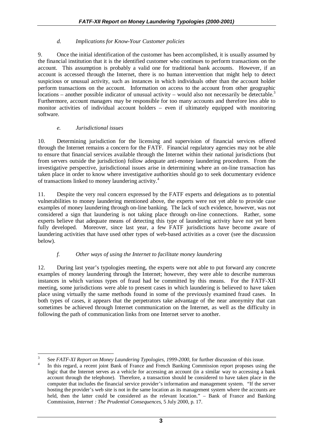## *d. Implications for Know-Your Customer policies*

9. Once the initial identification of the customer has been accomplished, it is usually assumed by the financial institution that it is the identified customer who continues to perform transactions on the account. This assumption is probably a valid one for traditional bank accounts. However, if an account is accessed through the Internet, there is no human intervention that might help to detect suspicious or unusual activity, such as instances in which individuals other than the account holder perform transactions on the account. Information on access to the account from other geographic locations – another possible indicator of unusual activity – would also not necessarily be detectable.<sup>3</sup> Furthermore, account managers may be responsible for too many accounts and therefore less able to monitor activities of individual account holders – even if ultimately equipped with monitoring software.

### *e. Jurisdictional issues*

10. Determining jurisdiction for the licensing and supervision of financial services offered through the Internet remains a concern for the FATF. Financial regulatory agencies may not be able to ensure that financial services available through the Internet within their national jurisdictions (but from servers outside the jurisdiction) follow adequate anti-money laundering procedures. From the investigative perspective, jurisdictional issues arise in determining where an on-line transaction has taken place in order to know where investigative authorities should go to seek documentary evidence of transactions linked to money laundering activity.<sup>4</sup>

11. Despite the very real concern expressed by the FATF experts and delegations as to potential vulnerabilities to money laundering mentioned above, the experts were not yet able to provide case examples of money laundering through on-line banking. The lack of such evidence, however, was not considered a sign that laundering is not taking place through on-line connections. Rather, some experts believe that adequate means of detecting this type of laundering activity have not yet been fully developed. Moreover, since last year, a few FATF jurisdictions have become aware of laundering activities that have used other types of web-based activities as a cover (see the discussion below).

## *f. Other ways of using the Internet to facilitate money laundering*

12. During last year's typologies meeting, the experts were not able to put forward any concrete examples of money laundering through the Internet; however, they were able to describe numerous instances in which various types of fraud had be committed by this means. For the FATF-XII meeting, some jurisdictions were able to present cases in which laundering is believed to have taken place using virtually the same methods found in some of the previously examined fraud cases. In both types of cases, it appears that the perpetrators take advantage of the near anonymity that can sometimes be achieved through Internet communication on the Internet, as well as the difficulty in following the path of communication links from one Internet server to another.

<sup>&</sup>lt;sup>2</sup><br>3 See *FATF-XI Report on Money Laundering Typologies, 1999-2000*, for further discussion of this issue.

In this regard, a recent joint Bank of France and French Banking Commission report proposes using the logic that the Internet serves as a vehicle for accessing an account (in a similar way to accessing a bank account through the telephone). Therefore, a transaction should be considered to have taken place in the computer that includes the financial service provider's information and management system. "If the server hosting the provider's web site is not in the same location as its management system where the accounts are held, then the latter could be considered as the relevant location." – Bank of France and Banking Commission, *Internet : The Prudential Consequences*, 5 July 2000, p. 17.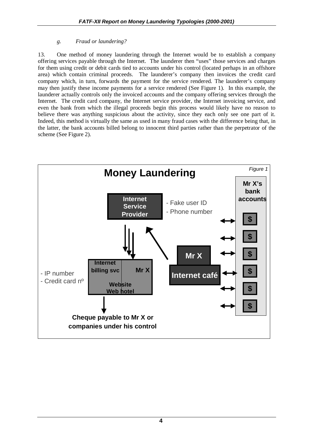## *g. Fraud or laundering?*

13. One method of money laundering through the Internet would be to establish a company offering services payable through the Internet. The launderer then "uses" those services and charges for them using credit or debit cards tied to accounts under his control (located perhaps in an offshore area) which contain criminal proceeds. The launderer's company then invoices the credit card company which, in turn, forwards the payment for the service rendered. The launderer's company may then justify these income payments for a service rendered (See Figure 1). In this example, the launderer actually controls only the invoiced accounts and the company offering services through the Internet. The credit card company, the Internet service provider, the Internet invoicing service, and even the bank from which the illegal proceeds begin this process would likely have no reason to believe there was anything suspicious about the activity, since they each only see one part of it. Indeed, this method is virtually the same as used in many fraud cases with the difference being that, in the latter, the bank accounts billed belong to innocent third parties rather than the perpetrator of the scheme (See Figure 2).

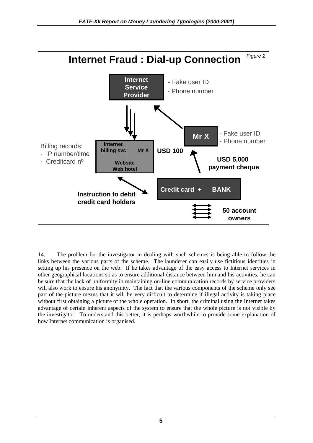

14. The problem for the investigator in dealing with such schemes is being able to follow the links between the various parts of the scheme. The launderer can easily use fictitious identities in setting up his presence on the web. If he takes advantage of the easy access to Internet services in other geographical locations so as to ensure additional distance between him and his activities, he can be sure that the lack of uniformity in maintaining on-line communication records by service providers will also work to ensure his anonymity. The fact that the various components of the scheme only see part of the picture means that it will be very difficult to determine if illegal activity is taking place without first obtaining a picture of the whole operation. In short, the criminal using the Internet takes advantage of certain inherent aspects of the system to ensure that the whole picture is not visible by the investigator. To understand this better, it is perhaps worthwhile to provide some explanation of how Internet communication is organised.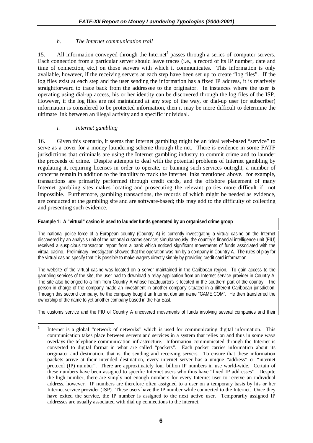## *h. The Internet communication trail*

15. All information conveyed through the Internet<sup>5</sup> passes through a series of computer servers. Each connection from a particular server should leave traces (i.e., a record of its IP number, date and time of connection, etc.) on those servers with which it communicates. This information is only available, however, if the receiving servers at each step have been set up to create "log files". If the log files exist at each step and the user sending the information has a fixed IP address, it is relatively straightforward to trace back from the addressee to the originator. In instances where the user is operating using dial-up access, his or her identity can be discovered through the log files of the ISP. However, if the log files are not maintained at any step of the way, or dial-up user (or subscriber) information is considered to be protected information, then it may be more difficult to determine the ultimate link between an illegal activity and a specific individual.

### *i. Internet gambling*

16. Given this scenario, it seems that Internet gambling might be an ideal web-based "service" to serve as a cover for a money laundering scheme through the net. There is evidence in some FATF jurisdictions that criminals are using the Internet gambling industry to commit crime and to launder the proceeds of crime. Despite attempts to deal with the potential problems of Internet gambling by regulating it, requiring licenses in order to operate, or banning such services outright, a number of concerns remain in addition to the inability to track the Internet links mentioned above. for example, transactions are primarily performed through credit cards, and the offshore placement of many Internet gambling sites makes locating and prosecuting the relevant parties more difficult if not impossible. Furthermore, gambling transactions, the records of which might be needed as evidence, are conducted at the gambling site and are software-based; this may add to the difficulty of collecting and presenting such evidence.

#### **Example 1: A "virtual" casino is used to launder funds generated by an organised crime group**

The national police force of a European country (Country A) is currently investigating a virtual casino on the Internet discovered by an analysis unit of the national customs service; simultaneously, the country's financial intelligence unit (FIU) received a suspicious transaction report from a bank which noticed significant movements of funds associated with the virtual casino. Preliminary investigation showed that the operation was run by a company in Country A. The rules of play for the virtual casino specify that it is possible to make wagers directly simply by providing credit card information.

The website of the virtual casino was located on a server maintained in the Caribbean region. To gain access to the gambling services of the site, the user had to download a relay application from an Internet service provider in Country A. The site also belonged to a firm from Country A whose headquarters is located in the southern part of the country. The person in charge of the company made an investment in another company situated in a different Caribbean jurisdiction. Through this second company, he the company bought an Internet domain name "GAME.COM". He then transferred the ownership of the name to yet another company based in the Far East.

The customs service and the FIU of Country A uncovered movements of funds involving several companies and their

 $\overline{a}$ 5 Internet is a global "network of networks" which is used for communicating digital information. This communication takes place between servers and services in a system that relies on and thus in some ways overlays the telephone communication infrastructure. Information communicated through the Internet is converted to digital format in what are called "packets". Each packet carries information about its originator and destination, that is, the sending and receiving servers. To ensure that these information packets arrive at their intended destination, every internet server has a unique "address" or "internet protocol (IP) number". There are approximately four billion IP numbers in use world-wide. Certain of these numbers have been assigned to specific Internet users who thus have "fixed IP addresses". Despite the high number, there are simply not enough numbers for every Internet user to receive an individual address, however. IP numbers are therefore often assigned to a user on a temporary basis by his or her Internet service provider (ISP). These users have the IP number while connected to the Internet. Once they have exited the service, the IP number is assigned to the next active user. Temporarily assigned IP addresses are usually associated with dial up connections to the internet.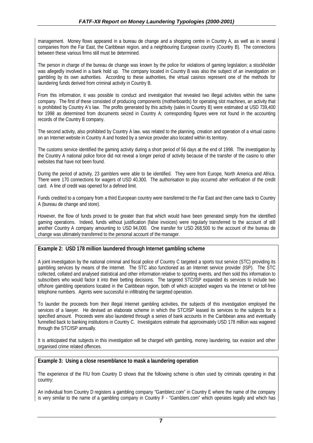management. Money flows appeared in a bureau de change and a shopping centre in Country A, as well as in several companies from the Far East, the Caribbean region, and a neighbouring European country (Country B). The connections between these various firms still must be determined.

The person in charge of the bureau de change was known by the police for violations of gaming legislation; a stockholder was allegedly involved in a bank hold up. The company located in Country B was also the subject of an investigation on gambling by its own authorities. According to these authorities, the virtual casinos represent one of the methods for laundering funds derived from criminal activity in Country B.

From this information, it was possible to conduct and investigation that revealed two illegal activities within the same company. The first of these consisted of producing components (motherboards) for operating slot machines, an activity that is prohibited by Country A's law. The profits generated by this activity (sales in Country B) were estimated at USD 739,400 for 1998 as determined from documents seized in Country A; corresponding figures were not found in the accounting records of the Country B company.

The second activity, also prohibited by Country A law, was related to the planning, creation and operation of a virtual casino on an Internet website in Country A and hosted by a service provider also located within its territory.

The customs service identified the gaming activity during a short period of 56 days at the end of 1998. The investigation by the Country A national police force did not reveal a longer period of activity because of the transfer of the casino to other websites that have not been found.

During the period of activity, 23 gamblers were able to be identified. They were from Europe, North America and Africa. There were 170 connections for wagers of USD 40,300. The authorisation to play occurred after verification of the credit card. A line of credit was opened for a defined limit.

Funds credited to a company from a third European country were transferred to the Far East and then came back to Country A (bureau de change and store).

However, the flow of funds proved to be greater than that which would have been generated simply from the identified gaming operations. Indeed, funds without justification (false invoices) were regularly transferred to the account of still another Country A company amounting to USD 94,000. One transfer for USD 268,500 to the account of the bureau de change was ultimately transferred to the personal account of the manager.

#### **Example 2: USD 178 million laundered through Internet gambling scheme**

A joint investigation by the national criminal and fiscal police of Country C targeted a sports tout service (STC) providing its gambling services by means of the Internet. The STC also functioned as an Internet service provider (ISP). The STC collected, collated and analysed statistical and other information relative to sporting events, and then sold this information to subscribers who would factor it into their betting decisions. The targeted STC/ISP expanded its services to include two offshore gambling operations located in the Caribbean region, both of which accepted wagers via the Internet or toll-free telephone numbers. Agents were successful in infiltrating the targeted operation.

To launder the proceeds from their illegal Internet gambling activities, the subjects of this investigation employed the services of a lawyer. He devised an elaborate scheme in which the STC/ISP leased its services to the subjects for a specified amount. Proceeds were also laundered through a series of bank accounts in the Caribbean area and eventually funnelled back to banking institutions in Country C. Investigators estimate that approximately USD 178 million was wagered through the STC/ISP annually.

It is anticipated that subjects in this investigation will be charged with gambling, money laundering, tax evasion and other organised crime related offences.

#### **Example 3: Using a close resemblance to mask a laundering operation**

The experience of the FIU from Country D shows that the following scheme is often used by criminals operating in that country:

An individual from Country D registers a gambling company "Gamblerz.com" in Country E where the name of the company is very similar to the name of a gambling company in Country F - "Gamblers.com" which operates legally and which has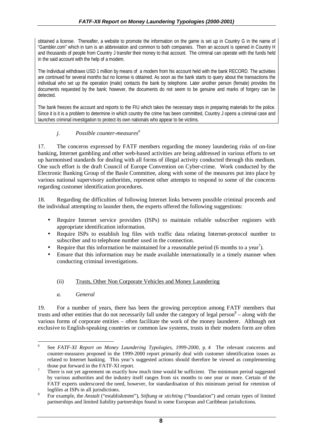obtained a license. Thereafter, a website to promote the information on the game is set up in Country G in the name of "Gambler.com" which in turn is an abbreviation and common to both companies. Then an account is opened in Country H and thousands of people from Country J transfer their money to that account. The criminal can operate with the funds held in the said account with the help of a modem.

The Individual withdraws USD 1 million by means of a modem from his account held with the bank RECORD. The activities are continued for several months but no license is obtained. As soon as the bank starts to query about the transactions the individual who set up the operation (male) contacts the bank by telephone. Later another person (female) provides the documents requested by the bank; however, the documents do not seem to be genuine and marks of forgery can be detected.

The bank freezes the account and reports to the FIU which takes the necessary steps in preparing materials for the police. Since it is it is a problem to determine in which country the crime has been committed, Country J opens a criminal case and launches criminal investigation to protect its own nationals who appear to be victims.

## *j. Possible counter-measures6*

17. The concerns expressed by FATF members regarding the money laundering risks of on-line banking, Internet gambling and other web-based activities are being addressed in various efforts to set up harmonised standards for dealing with all forms of illegal activity conducted through this medium. One such effort is the draft Council of Europe Convention on Cyber-crime. Work conducted by the Electronic Banking Group of the Basle Committee, along with some of the measures put into place by various national supervisory authorities, represent other attempts to respond to some of the concerns regarding customer identification procedures.

18. Regarding the difficulties of following Internet links between possible criminal proceeds and the individual attempting to launder them, the experts offered the following suggestions:

- Require Internet service providers (ISPs) to maintain reliable subscriber registers with appropriate identification information.
- Require ISPs to establish log files with traffic data relating Internet-protocol number to subscriber and to telephone number used in the connection.
- Require that this information be maintained for a reasonable period (6 months to a year<sup>7</sup>).
- Ensure that this information may be made available internationally in a timely manner when conducting criminal investigations.

# (ii) Trusts, Other Non Corporate Vehicles and Money Laundering

*a. General*

19. For a number of years, there has been the growing perception among FATF members that trusts and other entities that do not necessarily fall under the category of legal person<sup>8</sup> – along with the various forms of corporate entities – often facilitate the work of the money launderer. Although not exclusive to English-speaking countries or common law systems, trusts in their modern form are often

 6 See *FATF-XI Report on Money Laundering Typologies, 1999-2000*, p. 4 The relevant concerns and counter-measures proposed in the 1999-2000 report primarily deal with customer identification issues as related to Internet banking. This year's suggested actions should therefore be viewed as complementing those put forward in the FATF-XI report.

There is not yet agreement on exactly how much time would be sufficient. The minimum period suggested by various authorities and the industry itself ranges from six months to one year or more. Certain of the FATF experts underscored the need, however, for standardisation of this minimum period for retention of logfiles at ISPs in all jurisdictions.

For example, the *Anstalt* ("establishment"), *Stiftung* or *stichting* ("foundation") and certain types of limited partnerships and limited liability partnerships found in some European and Caribbean jurisdictions.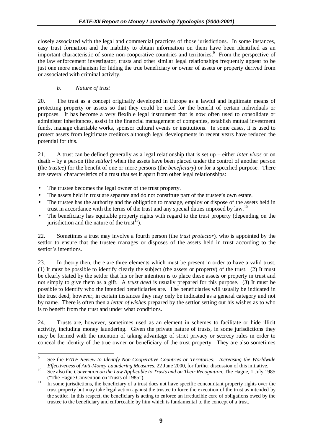closely associated with the legal and commercial practices of those jurisdictions. In some instances, easy trust formation and the inability to obtain information on them have been identified as an important characteristic of some non-cooperative countries and territories.<sup>9</sup> From the perspective of the law enforcement investigator, trusts and other similar legal relationships frequently appear to be just one more mechanism for hiding the true beneficiary or owner of assets or property derived from or associated with criminal activity.

## *b. Nature of trust*

20. The trust as a concept originally developed in Europe as a lawful and legitimate means of protecting property or assets so that they could be used for the benefit of certain individuals or purposes. It has become a very flexible legal instrument that is now often used to consolidate or administer inheritances, assist in the financial management of companies, establish mutual investment funds, manage charitable works, sponsor cultural events or institutions. In some cases, it is used to protect assets from legitimate creditors although legal developments in recent years have reduced the potential for this.

21. A trust can be defined generally as a legal relationship that is set up – either *inter vivos* or on death – by a person (the *settlor*) when the assets have been placed under the control of another person (the *trustee*) for the benefit of one or more persons (the *beneficiary*) or for a specified purpose. There are several characteristics of a trust that set it apart from other legal relationships:

- The trustee becomes the legal owner of the trust property.
- The assets held in trust are separate and do not constitute part of the trustee's own estate.
- The trustee has the authority and the obligation to manage, employ or dispose of the assets held in trust in accordance with the terms of the trust and any special duties imposed by law.<sup>10</sup>
- The beneficiary has equitable property rights with regard to the trust property (depending on the jurisdiction and the nature of the trust<sup>11</sup>).

22. Sometimes a trust may involve a fourth person (the *trust protector*), who is appointed by the settlor to ensure that the trustee manages or disposes of the assets held in trust according to the settlor's intentions.

23. In theory then, there are three elements which must be present in order to have a valid trust. (1) It must be possible to identify clearly the subject (the assets or property) of the trust. (2) It must be clearly stated by the settlor that his or her intention is to place these assets or property in trust and not simply to give them as a gift. A *trust deed* is usually prepared for this purpose. (3) It must be possible to identify who the intended beneficiaries are. The beneficiaries will usually be indicated in the trust deed; however, in certain instances they may only be indicated as a general category and not by name. There is often then a *letter of wishes* prepared by the settlor setting out his wishes as to who is to benefit from the trust and under what conditions.

24. Trusts are, however, sometimes used as an element in schemes to facilitate or hide illicit activity, including money laundering. Given the private nature of trusts, in some jurisdictions they may be formed with the intention of taking advantage of strict privacy or secrecy rules in order to conceal the identity of the true owner or beneficiary of the trust property. They are also sometimes

<sup>-&</sup>lt;br>9 See the *FATF Review to Identify Non-Cooperative Countries or Territories: Increasing the Worldwide Effectiveness of Anti-Money Laundering Measures, 22 June 2000, for further discussion of this initiative.*<br><sup>10</sup> See also the *Convention on the Law Applicable to Trusts and on Their Recognition*, The Hague, 1 July 1985

<sup>(&</sup>quot;The Hague Convention on Trusts of 1985").<br><sup>11</sup> In some jurisdictions, the beneficiary of a trust does not have specific concomitant property rights over the

trust property but may take legal action against the trustee to force the execution of the trust as intended by the settlor. In this respect, the beneficiary is acting to enforce an irreducible core of obligations owed by the trustee to the beneficiary and enforceable by him which is fundamental to the concept of a trust.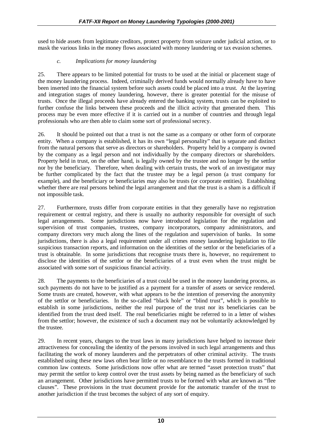used to hide assets from legitimate creditors, protect property from seizure under judicial action, or to mask the various links in the money flows associated with money laundering or tax evasion schemes.

## *c. Implications for money laundering*

25. There appears to be limited potential for trusts to be used at the initial or placement stage of the money laundering process. Indeed, criminally derived funds would normally already have to have been inserted into the financial system before such assets could be placed into a trust. At the layering and integration stages of money laundering, however, there is greater potential for the misuse of trusts. Once the illegal proceeds have already entered the banking system, trusts can be exploited to further confuse the links between these proceeds and the illicit activity that generated them. This process may be even more effective if it is carried out in a number of countries and through legal professionals who are then able to claim some sort of professional secrecy.

26. It should be pointed out that a trust is not the same as a company or other form of corporate entity. When a company is established, it has its own "legal personality" that is separate and distinct from the natural persons that serve as directors or shareholders. Property held by a company is owned by the company as a legal person and not individually by the company directors or shareholders. Property held in trust, on the other hand, is legally owned by the trustee and no longer by the settlor nor by the beneficiary. Therefore, when dealing with certain trusts, the work of an investigator may be further complicated by the fact that the trustee may be a legal person (a trust company for example), and the beneficiary or beneficiaries may also be trusts (or corporate entities). Establishing whether there are real persons behind the legal arrangement and that the trust is a sham is a difficult if not impossible task.

27. Furthermore, trusts differ from corporate entities in that they generally have no registration requirement or central registry, and there is usually no authority responsible for oversight of such legal arrangements. Some jurisdictions now have introduced legislation for the regulation and supervision of trust companies, trustees, company incorporators, company administrators, and company directors very much along the lines of the regulation and supervision of banks. In some jurisdictions, there is also a legal requirement under all crimes money laundering legislation to file suspicious transaction reports, and information on the identities of the settlor or the beneficiaries of a trust is obtainable. In some jurisdictions that recognise trusts there is, however, no requirement to disclose the identities of the settlor or the beneficiaries of a trust even when the trust might be associated with some sort of suspicious financial activity.

28. The payments to the beneficiaries of a trust could be used in the money laundering process, as such payments do not have to be justified as a payment for a transfer of assets or service rendered. Some trusts are created, however, with what appears to be the intention of preserving the anonymity of the settlor or beneficiaries. In the so-called "black hole" or "blind trust", which is possible to establish in some jurisdictions, neither the real purpose of the trust nor its beneficiaries can be identified from the trust deed itself. The real beneficiaries might be referred to in a letter of wishes from the settlor; however, the existence of such a document may not be voluntarily acknowledged by the trustee.

29. In recent years, changes to the trust laws in many jurisdictions have helped to increase their attractiveness for concealing the identity of the persons involved in such legal arrangements and thus facilitating the work of money launderers and the perpetrators of other criminal activity. The trusts established using these new laws often bear little or no resemblance to the trusts formed in traditional common law contexts. Some jurisdictions now offer what are termed "asset protection trusts" that may permit the settlor to keep control over the trust assets by being named as the beneficiary of such an arrangement. Other jurisdictions have permitted trusts to be formed with what are known as "flee clauses". These provisions in the trust document provide for the automatic transfer of the trust to another jurisdiction if the trust becomes the subject of any sort of enquiry.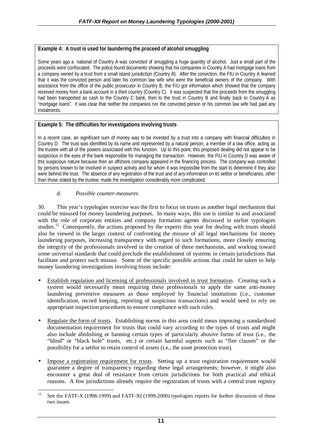## **Example 4: A trust is used for laundering the proceed of alcohol smuggling**

Some years ago a national of Country A was convicted of smuggling a huge quantity of alcohol. Just a small part of the proceeds were confiscated. The police found documents showing that his companies in Country A had mortgage loans from a company owned by a trust from a small island jurisdiction (Country B). After the conviction, the FIU in Country A learned that it was the convicted person and later his common law wife who were the beneficial owners of the company. With assistance from the office of the public prosecutor in Country B, the FIU got information which showed that the company received money from a bank account in a third country (Country C). It was suspected that the proceeds from the smuggling had been transported as cash to the Country C bank, then to the trust in Country B and finally back to Country A as "mortgage loans". It was clear that neither the companies nor the convicted person or his common law wife had paid any instalments.

### **Example 5: The difficulties for investigations involving trusts**

In a recent case, an significant sum of money was to be invested by a trust into a company with financial difficulties in Country D. The trust was identified by its name and represented by a natural person, a member of a law office, acting as the trustee with all of the powers associated with this function. Up to this point, this proposed dealing did not appear to be suspicious in the eyes of the bank responsible for managing the transaction. However, the FIU in Country D was aware of this suspicious nature because then an offshore company appeared in the financing process. The company was controlled by persons known to be involved in suspect activity and for whom it was impossible from the start to determine if they also were behind the trust. The absence of any registration of the trust and of any information on its settlor or beneficiaries, other than those stated by the trustee, made the investigation considerably more complicated.

### *d. Possible counter-measures*

30. This year's typologies exercise was the first to focus on trusts as another legal mechanism that could be misused for money laundering purposes. In many ways, this use is similar to and associated with the role of corporate entities and company formation agents discussed in earlier typologies studies.<sup>12</sup> Consequently, the actions proposed by the experts this year for dealing with trusts should also be viewed in the larger context of confronting the misuse of all legal mechanisms for money laundering purposes, increasing transparency with regard to such formations, more closely ensuring the integrity of the professionals involved in the creation of these mechanisms, and working toward some universal standards that could preclude the establishment of systems in certain jurisdictions that facilitate and protect such misuse. Some of the specific possible actions that could be taken to help money laundering investigations involving trusts include:

- Establish regulation and licensing of professionals involved in trust formation. Creating such a system would necessarily mean requiring these professionals to apply the same anti-money laundering preventive measures as those employed by financial institutions (i.e., customer identification, record keeping, reporting of suspicious transactions) and would need to rely on appropriate inspection procedures to ensure compliance with such rules.
- Regulate the form of trusts. Establishing norms in this area could mean imposing a standardised documentation requirement for trusts that could vary according to the types of trusts and might also include abolishing or banning certain types of particularly abusive forms of trust (i.e., the "blind" or "black hole" trusts, etc.) or certain harmful aspects such as "flee clauses" or the possibility for a settlor to retain control of assets (i.e., the asset protection trust).
- Impose a registration requirement for trusts. Setting up a trust registration requirement would guarantee a degree of transparency regarding these legal arrangements; however, it might also encounter a great deal of resistance from certain jurisdictions for both practical and ethical reasons. A few jurisdictions already require the registration of trusts with a central trust registry

 $12$ See the FATF-X (1998-1999) and FATF-XI (1999-2000) typologies reports for further discussion of these two issues.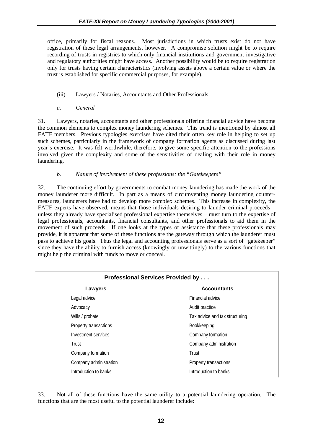office, primarily for fiscal reasons. Most jurisdictions in which trusts exist do not have registration of these legal arrangements, however. A compromise solution might be to require recording of trusts in registries to which only financial institutions and government investigative and regulatory authorities might have access. Another possibility would be to require registration only for trusts having certain characteristics (involving assets above a certain value or where the trust is established for specific commercial purposes, for example).

## (iii) Lawyers / Notaries, Accountants and Other Professionals

*a. General*

31. Lawyers, notaries, accountants and other professionals offering financial advice have become the common elements to complex money laundering schemes. This trend is mentioned by almost all FATF members. Previous typologies exercises have cited their often key role in helping to set up such schemes, particularly in the framework of company formation agents as discussed during last year's exercise. It was felt worthwhile, therefore, to give some specific attention to the professions involved given the complexity and some of the sensitivities of dealing with their role in money laundering.

*b. Nature of involvement of these professions: the "Gatekeepers"*

32. The continuing effort by governments to combat money laundering has made the work of the money launderer more difficult. In part as a means of circumventing money laundering countermeasures, launderers have had to develop more complex schemes. This increase in complexity, the FATF experts have observed, means that those individuals desiring to launder criminal proceeds – unless they already have specialised professional expertise themselves – must turn to the expertise of legal professionals, accountants, financial consultants, and other professionals to aid them in the movement of such proceeds. If one looks at the types of assistance that these professionals may provide, it is apparent that some of these functions are the gateway through which the launderer must pass to achieve his goals. Thus the legal and accounting professionals serve as a sort of "gatekeeper" since they have the ability to furnish access (knowingly or unwittingly) to the various functions that might help the criminal with funds to move or conceal.

| <b>Professional Services Provided by </b> |                                |
|-------------------------------------------|--------------------------------|
| Lawyers                                   | <b>Accountants</b>             |
| Legal advice                              | Financial advice               |
| Advocacy                                  | Audit practice                 |
| Wills / probate                           | Tax advice and tax structuring |
| Property transactions                     | Bookkeeping                    |
| Investment services                       | Company formation              |
| Trust                                     | Company administration         |
| Company formation                         | Trust                          |
| Company administration                    | Property transactions          |
| Introduction to banks                     | Introduction to banks          |

33. Not all of these functions have the same utility to a potential laundering operation. The functions that are the most useful to the potential launderer include: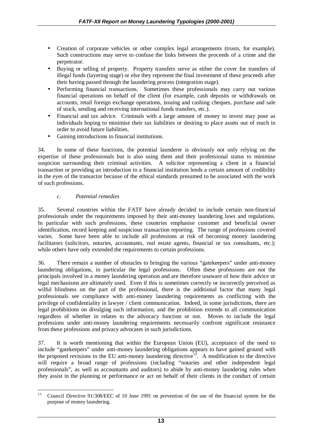- Creation of corporate vehicles or other complex legal arrangements (trusts, for example). Such constructions may serve to confuse the links between the proceeds of a crime and the perpetrator.
- Buying or selling of property. Property transfers serve as either the cover for transfers of illegal funds (layering stage) or else they represent the final investment of these proceeds after their having passed through the laundering process (integration stage).
- Performing financial transactions. Sometimes these professionals may carry out various financial operations on behalf of the client (for example, cash deposits or withdrawals on accounts, retail foreign exchange operations, issuing and cashing cheques, purchase and sale of stock, sending and receiving international funds transfers, etc.).
- Financial and tax advice. Criminals with a large amount of money to invest may pose as individuals hoping to minimise their tax liabilities or desiring to place assets out of reach in order to avoid future liabilities.
- Gaining introductions to financial institutions.

34. In some of these functions, the potential launderer is obviously not only relying on the expertise of these professionals but is also using them and their professional status to minimise suspicion surrounding their criminal activities. A solicitor representing a client in a financial transaction or providing an introduction to a financial institution lends a certain amount of credibility in the eyes of the transactor because of the ethical standards presumed to be associated with the work of such professions.

### *c. Potential remedies*

35. Several countries within the FATF have already decided to include certain non-financial professionals under the requirements imposed by their anti-money laundering laws and regulations. In particular with such professions, these countries emphasise customer and beneficial owner identification, record keeping and suspicious transaction reporting. The range of professions covered varies. Some have been able to include all professions at risk of becoming money laundering facilitators (solicitors, notaries, accountants, real estate agents, financial or tax consultants, etc.); while others have only extended the requirements to certain professions.

36. There remain a number of obstacles to bringing the various "gatekeepers" under anti-money laundering obligations, in particular the legal professions. Often these professions are not the principals involved in a money laundering operation and are therefore unaware of how their advice or legal mechanisms are ultimately used. Even if this is sometimes correctly or incorrectly perceived as wilful blindness on the part of the professional, there is the additional factor that many legal professionals see compliance with anti-money laundering requirements as conflicting with the privilege of confidentiality in lawyer / client communication. Indeed, in some jurisdictions, there are legal prohibitions on divulging such information, and the prohibition extends to all communication regardless of whether in relates to the advocacy function or not. Moves to include the legal professions under anti-money laundering requirements necessarily confront significant resistance from these professions and privacy advocates in such jurisdictions.

37. It is worth mentioning that within the European Union (EU), acceptance of the need to include "gatekeepers" under anti-money laundering obligations appears to have gained ground with the proposed revisions to the EU anti-money laundering directive<sup>13</sup>. A modification to the directive will require a broad range of professions (including "notaries and other independent legal professionals", as well as accountants and auditors) to abide by anti-money laundering rules when they assist in the planning or performance or act on behalf of their clients in the conduct of certain

 $13$ 13 Council Directive 91/308/EEC of 10 June 1991 on prevention of the use of the financial system for the purpose of money laundering.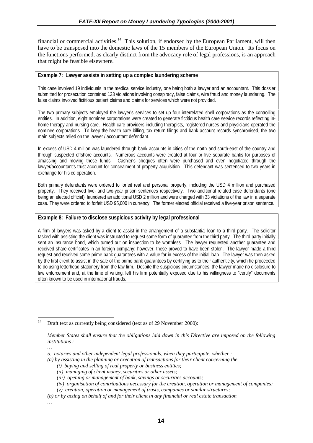financial or commercial activities.<sup>14</sup> This solution, if endorsed by the European Parliament, will then have to be transposed into the domestic laws of the 15 members of the European Union. Its focus on the functions performed, as clearly distinct from the advocacy role of legal professions, is an approach that might be feasible elsewhere.

#### **Example 7: Lawyer assists in setting up a complex laundering scheme**

This case involved 19 individuals in the medical service industry, one being both a lawyer and an accountant. This dossier submitted for prosecution contained 123 violations involving conspiracy, false claims, wire fraud and money laundering. The false claims involved fictitious patient claims and claims for services which were not provided.

The two primary subjects employed the lawyer's services to set up four interrelated shell corporations as the controlling entities. In addition, eight nominee corporations were created to generate fictitious health care service records reflecting inhome therapy and nursing care. Health care providers including therapists, registered nurses and physicians operated the nominee corporations. To keep the health care billing, tax return filings and bank account records synchronised, the two main subjects relied on the lawyer / accountant defendant.

In excess of USD 4 million was laundered through bank accounts in cities of the north and south-east of the country and through suspected offshore accounts. Numerous accounts were created at four or five separate banks for purposes of amassing and moving these funds. Cashier's cheques often were purchased and even negotiated through the lawyer/accountant's trust account for concealment of property acquisition. This defendant was sentenced to two years in exchange for his co-operation.

Both primary defendants were ordered to forfeit real and personal property, including the USD 4 million and purchased property. They received five- and two-year prison sentences respectively. Two additional related case defendants (one being an elected official), laundered an additional USD 2 million and were charged with 33 violations of the law in a separate case. They were ordered to forfeit USD 95,000 in currency. The former elected official received a five-year prison sentence.

#### **Example 8: Failure to disclose suspicious activity by legal professional**

A firm of lawyers was asked by a client to assist in the arrangement of a substantial loan to a third party. The solicitor tasked with assisting the client was instructed to request some form of guarantee from the third party. The third party initially sent an insurance bond, which turned out on inspection to be worthless. The lawyer requested another guarantee and received share certificates in an foreign company; however, these proved to have been stolen. The lawyer made a third request and received some prime bank guarantees with a value far in excess of the initial loan. The lawyer was then asked by the first client to assist in the sale of the prime bank guarantees by certifying as to their authenticity, which he proceeded to do using letterhead stationery from the law firm. Despite the suspicious circumstances, the lawyer made no disclosure to law enforcement and, at the time of writing, left his firm potentially exposed due to his willingness to "certify" documents often known to be used in international frauds.

*…*

 $14$ Draft text as currently being considered (text as of 29 November 2000):

*Member States shall ensure that the obligations laid down in this Directive are imposed on the following institutions :*

*<sup>…</sup> 5. notaries and other independent legal professionals, when they participate, whether :*

*<sup>(</sup>a) by assisting in the planning or execution of transactions for their client concerning the*

*<sup>(</sup>i) buying and selling of real property or business entities;*

*<sup>(</sup>ii) managing of client money, securities or other assets;*

*<sup>(</sup>iii) opening or management of bank, savings or securities accounts;*

*<sup>(</sup>iv) organisation of contributions necessary for the creation, operation or management of companies;*

*<sup>(</sup>v) creation, operation or management of trusts, companies or similar structures;*

*<sup>(</sup>b) or by acting on behalf of and for their client in any financial or real estate transaction*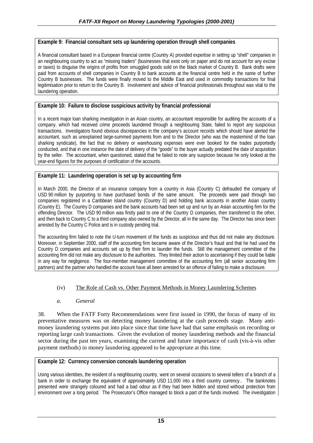#### **Example 9: Financial consultant sets up laundering operation through shell companies**

A financial consultant based in a European financial centre (Country A) provided expertise in setting up "shell" companies in an neighbouring country to act as "missing traders" (businesses that exist only on paper and do not account for any excise or taxes) to disguise the origins of profits from smuggled goods sold on the black market of Country B. Bank drafts were paid from accounts of shell companies in Country B to bank accounts at the financial centre held in the name of further Country B businesses. The funds were finally moved to the Middle East and used in commodity transactions for final legitimisation prior to return to the Country B. Involvement and advice of financial professionals throughout was vital to the laundering operation.

## **Example 10: Failure to disclose suspicious activity by financial professional**

In a recent major loan sharking investigation in an Asian country, an accountant responsible for auditing the accounts of a company, which had received crime proceeds laundered through a neighbouring State, failed to report any suspicious transactions. Investigators found obvious discrepancies in the company's account records which should have alerted the accountant, such as unexplained large-summed payments from and to the Director (who was the mastermind of the loan sharking syndicate), the fact that no delivery or warehousing expenses were ever booked for the trades purportedly conducted, and that in one instance the date of delivery of the "goods" to the buyer actually predated the date of acquisition by the seller. The accountant, when questioned, stated that he failed to note any suspicion because he only looked at the year-end figures for the purposes of certification of the accounts.

### **Example 11: Laundering operation is set up by accounting firm**

In March 2000, the Director of an insurance company from a country in Asia (Country C) defrauded the company of USD 90 million by purporting to have purchased bonds of the same amount. The proceeds were paid through two companies registered in a Caribbean island country (Country D) and holding bank accounts in another Asian country (Country E). The Country D companies and the bank accounts had been set up and run by an Asian accounting firm for the offending Director. The USD 90 million was firstly paid to one of the Country D companies, then transferred to the other, and then back to Country C to a third company also owned by the Director, all in the same day. The Director has since been arrested by the Country C Police and is in custody pending trial.

The accounting firm failed to note the U-turn movement of the funds as suspicious and thus did not make any disclosure. Moreover, in September 2000, staff of the accounting firm became aware of the Director's fraud and that he had used the Country D companies and accounts set up by their firm to launder the funds. Still the management committee of the accounting firm did not make any disclosure to the authorities. They limited their action to ascertaining if they could be liable in any way for negligence. The four-member management committee of the accounting firm (all senior accounting firm partners) and the partner who handled the account have all been arrested for an offence of failing to make a disclosure.

#### (iv) The Role of Cash vs. Other Payment Methods in Money Laundering Schemes

#### *a. General*

38. When the FATF Forty Recommendations were first issued in 1990, the focus of many of its preventative measures was on detecting money laundering at the cash proceeds stage. Many antimoney laundering systems put into place since that time have had that same emphasis on recording or reporting large cash transactions. Given the evolution of money laundering methods and the financial sector during the past ten years, examining the current and future importance of cash (vis-à-vis other payment methods) in money laundering appeared to be appropriate at this time.

#### **Example 12: Currency conversion conceals laundering operation**

Using various identities, the resident of a neighbouring country, went on several occasions to several tellers of a branch of a bank in order to exchange the equivalent of approximately USD 11,000 into a third country currency.. The banknotes presented were strangely coloured and had a bad odour as if they had been hidden and stored without protection from environment over a long period. The Prosecutor's Office managed to block a part of the funds involved. The investigation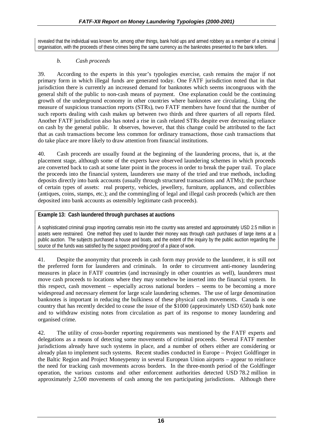revealed that the individual was known for, among other things, bank hold ups and armed robbery as a member of a criminal organisation, with the proceeds of these crimes being the same currency as the banknotes presented to the bank tellers.

## *b. Cash proceeds*

39. According to the experts in this year's typologies exercise, cash remains the major if not primary form in which illegal funds are generated today. One FATF jurisdiction noted that in that jurisdiction there is currently an increased demand for banknotes which seems incongruous with the general shift of the public to non-cash means of payment. One explanation could be the continuing growth of the underground economy in other countries where banknotes are circulating.. Using the measure of suspicious transaction reports (STRs), two FATF members have found that the number of such reports dealing with cash makes up between two thirds and three quarters of all reports filed. Another FATF jurisdiction also has noted a rise in cash related STRs despite ever decreasing reliance on cash by the general public. It observes, however, that this change could be attributed to the fact that as cash transactions become less common for ordinary transactions, those cash transactions that do take place are more likely to draw attention from financial institutions.

40. Cash proceeds are usually found at the beginning of the laundering process, that is, at the placement stage, although some of the experts have observed laundering schemes in which proceeds are converted back to cash at some later point in the process in order to break the paper trail. To place the proceeds into the financial system, launderers use many of the tried and true methods, including deposits directly into bank accounts (usually through structured transactions and ATMs); the purchase of certain types of assets: real property, vehicles, jewellery, furniture, appliances, and collectibles (antiques, coins, stamps, etc.); and the commingling of legal and illegal cash proceeds (which are then deposited into bank accounts as ostensibly legitimate cash proceeds).

### **Example 13: Cash laundered through purchases at auctions**

A sophisticated criminal group importing cannabis resin into the country was arrested and approximately USD 2.5 million in assets were restrained. One method they used to launder their money was through cash purchases of large items at a public auction. The subjects purchased a house and boats, and the extent of the inquiry by the public auction regarding the source of the funds was satisfied by the suspect providing proof of a place of work.

41. Despite the anonymity that proceeds in cash form may provide to the launderer, it is still not the preferred form for launderers and criminals. In order to circumvent anti-money laundering measures in place in FATF countries (and increasingly in other countries as well), launderers must move cash proceeds to locations where they may somehow be inserted into the financial system. In this respect, cash movement – especially across national borders – seems to be becoming a more widespread and necessary element for large scale laundering schemes. The use of large denomination banknotes is important in reducing the bulkiness of these physical cash movements. Canada is one country that has recently decided to cease the issue of the \$1000 (approximately USD 650) bank note and to withdraw existing notes from circulation as part of its response to money laundering and organised crime.

42. The utility of cross-border reporting requirements was mentioned by the FATF experts and delegations as a means of detecting some movements of criminal proceeds. Several FATF member jurisdictions already have such systems in place, and a number of others either are considering or already plan to implement such systems. Recent studies conducted in Europe – Project Goldfinger in the Baltic Region and Project Moneypenny in several European Union airports – appear to reinforce the need for tracking cash movements across borders. In the three-month period of the Goldfinger operation, the various customs and other enforcement authorities detected USD 78.2 million in approximately 2,500 movements of cash among the ten participating jurisdictions. Although there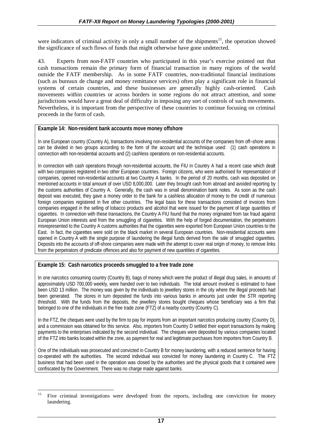were indicators of criminal activity in only a small number of the shipments<sup>15</sup>, the operation showed the significance of such flows of funds that might otherwise have gone undetected.

43. Experts from non-FATF countries who participated in this year's exercise pointed out that cash transactions remain the primary form of financial transaction in many regions of the world outside the FATF membership. As in some FATF countries, non-traditional financial institutions (such as bureaux de change and money remittance services) often play a significant role in financial systems of certain countries, and these businesses are generally highly cash-oriented. Cash movements within countries or across borders in some regions do not attract attention, and some jurisdictions would have a great deal of difficulty in imposing any sort of controls of such movements. Nevertheless, it is important from the perspective of these countries to continue focusing on criminal proceeds in the form of cash.

#### **Example 14: Non-resident bank accounts move money offshore**

In one European country (Country A), transactions involving non-residential accounts of the companies from off–shore areas can be divided in two groups according to the form of the account and the technique used: (1) cash operations in connection with non-residential accounts and (2) cashless operations on non-residential accounts.

In connection with cash operations through non-residential accounts, the FIU in Country A had a recent case which dealt with two companies registered in two other European countries. Foreign citizens, who were authorised for representation of companies, opened non-residential accounts at two Country A banks. In the period of 20 months, cash was deposited on mentioned accounts in total amount of over USD 8,000,000. Later they brought cash from abroad and avoided reporting by the customs authorities of Country A. Generally, the cash was in small denomination bank notes. As soon as the cash deposit was executed, they gave a money order to the bank for a cashless allocation of money to the credit of numerous foreign companies registered in five other countries. The legal basis for these transactions consisted of invoices from companies engaged in the selling of tobacco products and alcohol that were issued for the payment of large quantities of cigarettes. In connection with these transactions, the Country A FIU found that the money originated from tax fraud against European Union interests and from the smuggling of cigarettes. With the help of forged documentation, the perpetrators misrepresented to the Country A customs authorities that the cigarettes were exported from European Union countries to the East. In fact, the cigarettes were sold on the black market in several European countries. Non-residential accounts were opened in Country A with the single purpose of laundering the illegal funds derived from the sale of smuggled cigarettes. Deposits into the accounts of off-shore companies were made with the attempt to cover real origin of money, to remove links from the perpetrators of predicate offences and also for payment of new quantities of cigarettes.

#### **Example 15: Cash narcotics proceeds smuggled to a free trade zone**

In one narcotics consuming country (Country B), bags of money which were the product of illegal drug sales, in amounts of approximately USD 700,000 weekly, were handed over to two individuals. The total amount involved is estimated to have been USD 13 million. The money was given by the individuals to jewellery stores in the city where the illegal proceeds had been generated. The stores in turn deposited the funds into various banks in amounts just under the STR reporting threshold. With the funds from the deposits, the jewellery stores bought cheques whose beneficiary was a firm that belonged to one of the individuals in the free trade zone (FTZ) of a nearby country (Country C).

In the FTZ, the cheques were used by the firm to pay for imports from an important narcotics producing country (Country D), and a commission was obtained for this service. Also, importers from Country D settled their export transactions by making payments to the enterprises indicated by the second individual. The cheques were deposited by various companies located of the FTZ into banks located within the zone, as payment for real and legitimate purchases from importers from Country B.

One of the individuals was prosecuted and convicted in Country B for money laundering, with a reduced sentence for having co-operated with the authorities. The second individual was convicted for money laundering in Country C. The FTZ business that had been used in the operation was closed by the authorities and the physical goods that it contained were confiscated by the Government. There was no charge made against banks.

<sup>15</sup> 15 Five criminal investigations were developed from the reports, including one conviction for money laundering.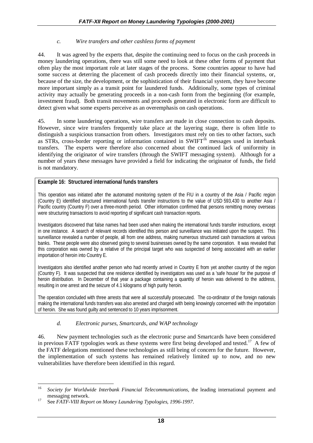#### *c. Wire transfers and other cashless forms of payment*

44. It was agreed by the experts that, despite the continuing need to focus on the cash proceeds in money laundering operations, there was still some need to look at these other forms of payment that often play the most important role at later stages of the process. Some countries appear to have had some success at deterring the placement of cash proceeds directly into their financial systems, or, because of the size, the development, or the sophistication of their financial system, they have become more important simply as a transit point for laundered funds. Additionally, some types of criminal activity may actually be generating proceeds in a non-cash form from the beginning (for example, investment fraud). Both transit movements and proceeds generated in electronic form are difficult to detect given what some experts perceive as an overemphasis on cash operations.

45. In some laundering operations, wire transfers are made in close connection to cash deposits. However, since wire transfers frequently take place at the layering stage, there is often little to distinguish a suspicious transaction from others. Investigators must rely on ties to other factors, such as STRs, cross-border reporting or information contained in SWIFT<sup>16</sup> messages used in interbank transfers. The experts were therefore also concerned about the continued lack of uniformity in identifying the originator of wire transfers (through the SWIFT messaging system). Although for a number of years these messages have provided a field for indicating the originator of funds, the field is not mandatory.

### **Example 16: Structured international funds transfers**

This operation was initiated after the automated monitoring system of the FIU in a country of the Asia / Pacific region (Country E) identified structured international funds transfer instructions to the value of USD 593,430 to another Asia / Pacific country (Country F) over a three-month period. Other information confirmed that persons remitting money overseas were structuring transactions to avoid reporting of significant cash transaction reports.

Investigators discovered that false names had been used when making the international funds transfer instructions, except in one instance. A search of relevant records identified this person and surveillance was initiated upon the suspect. This surveillance revealed a number of people, all from one address, making numerous structured cash transactions at various banks. These people were also observed going to several businesses owned by the same corporation. It was revealed that this corporation was owned by a relative of the principal target who was suspected of being associated with an earlier importation of heroin into Country E.

Investigators also identified another person who had recently arrived in Country E from yet another country of the region (Country F). It was suspected that one residence identified by investigators was used as a 'safe house' for the purpose of heroin distribution. In December of that year a package containing a quantity of heroin was delivered to the address, resulting in one arrest and the seizure of 4.1 kilograms of high purity heroin.

The operation concluded with three arrests that were all successfully prosecuted. The co-ordinator of the foreign nationals making the international funds transfers was also arrested and charged with being knowingly concerned with the importation of heroin. She was found guilty and sentenced to 10 years imprisonment.

## *d. Electronic purses, Smartcards, and WAP technology*

46. New payment technologies such as the electronic purse and Smartcards have been considered in previous FATF typologies work as these systems were first being developed and tested.<sup>17</sup> A few of the FATF delegations mentioned these technologies as still being of concern for the future. However, the implementation of such systems has remained relatively limited up to now, and no new vulnerabilities have therefore been identified in this regard.

 $16$ <sup>16</sup> *Society for Worldwide Interbank Financial Telecommunications*, the leading international payment and messaging network.<br><sup>17</sup> See *FATF-VIII Report on Money Laundering Typologies, 1996-1997.*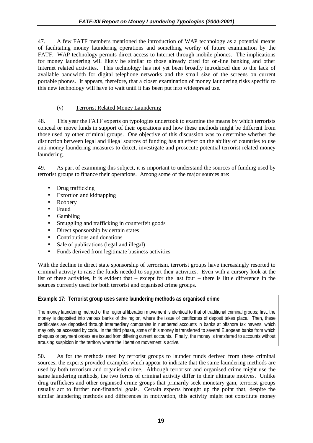47. A few FATF members mentioned the introduction of WAP technology as a potential means of facilitating money laundering operations and something worthy of future examination by the FATF. WAP technology permits direct access to Internet through mobile phones. The implications for money laundering will likely be similar to those already cited for on-line banking and other Internet related activities. This technology has not yet been broadly introduced due to the lack of available bandwidth for digital telephone networks and the small size of the screens on current portable phones. It appears, therefore, that a closer examination of money laundering risks specific to this new technology will have to wait until it has been put into widespread use.

## (v) Terrorist Related Money Laundering

48. This year the FATF experts on typologies undertook to examine the means by which terrorists conceal or move funds in support of their operations and how these methods might be different from those used by other criminal groups. One objective of this discussion was to determine whether the distinction between legal and illegal sources of funding has an effect on the ability of countries to use anti-money laundering measures to detect, investigate and prosecute potential terrorist related money laundering.

49. As part of examining this subject, it is important to understand the sources of funding used by terrorist groups to finance their operations. Among some of the major sources are:

- Drug trafficking
- Extortion and kidnapping
- Robbery
- Fraud
- Gambling
- Smuggling and trafficking in counterfeit goods
- Direct sponsorship by certain states
- Contributions and donations
- Sale of publications (legal and illegal)
- Funds derived from legitimate business activities

With the decline in direct state sponsorship of terrorism, terrorist groups have increasingly resorted to criminal activity to raise the funds needed to support their activities. Even with a cursory look at the list of these activities, it is evident that – except for the last four – there is little difference in the sources currently used for both terrorist and organised crime groups.

## **Example 17: Terrorist group uses same laundering methods as organised crime**

The money laundering method of the regional liberation movement is identical to that of traditional criminal groups; first, the money is deposited into various banks of the region, where the issue of certificates of deposit takes place. Then, these certificates are deposited through intermediary companies in numbered accounts in banks at offshore tax havens, which may only be accessed by code. In the third phase, some of this money is transferred to several European banks from which cheques or payment orders are issued from differing current accounts. Finally, the money is transferred to accounts without arousing suspicion in the territory where the liberation movement is active.

50. As for the methods used by terrorist groups to launder funds derived from these criminal sources, the experts provided examples which appear to indicate that the same laundering methods are used by both terrorism and organised crime. Although terrorism and organised crime might use the same laundering methods, the two forms of criminal activity differ in their ultimate motives. Unlike drug traffickers and other organised crime groups that primarily seek monetary gain, terrorist groups usually act to further non-financial goals. Certain experts brought up the point that, despite the similar laundering methods and differences in motivation, this activity might not constitute money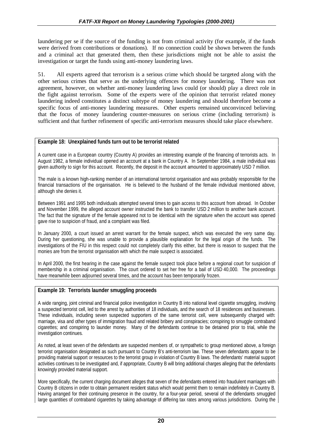laundering per se if the source of the funding is not from criminal activity (for example, if the funds were derived from contributions or donations). If no connection could be shown between the funds and a criminal act that generated them, then these jurisdictions might not be able to assist the investigation or target the funds using anti-money laundering laws.

51. All experts agreed that terrorism is a serious crime which should be targeted along with the other serious crimes that serve as the underlying offences for money laundering. There was not agreement, however, on whether anti-money laundering laws could (or should) play a direct role in the fight against terrorism. Some of the experts were of the opinion that terrorist related money laundering indeed constitutes a distinct subtype of money laundering and should therefore become a specific focus of anti-money laundering measures. Other experts remained unconvinced believing that the focus of money laundering counter-measures on serious crime (including terrorism) is sufficient and that further refinement of specific anti-terrorism measures should take place elsewhere.

### **Example 18: Unexplained funds turn out to be terrorist related**

A current case in a European country (Country A) provides an interesting example of the financing of terrorists acts. In August 1982, a female individual opened an account at a bank in Country A. In September 1984, a male individual was given authority to sign for this account. Recently, the deposit in the account amounted to approximately USD 7 million.

The male is a known high-ranking member of an international terrorist organisation and was probably responsible for the financial transactions of the organisation. He is believed to the husband of the female individual mentioned above, although she denies it.

Between 1991 and 1995 both individuals attempted several times to gain access to this account from abroad. In October and November 1999, the alleged account owner instructed the bank to transfer USD 2 million to another bank account. The fact that the signature of the female appeared not to be identical with the signature when the account was opened gave rise to suspicion of fraud, and a complaint was filed.

In January 2000, a court issued an arrest warrant for the female suspect, which was executed the very same day. During her questioning, she was unable to provide a plausible explanation for the legal origin of the funds. The investigations of the FIU in this respect could not completely clarify this either, but there is reason to suspect that the monies are from the terrorist organisation with which the male suspect is associated.

In April 2000, the first hearing in the case against the female suspect took place before a regional court for suspicion of membership in a criminal organisation. The court ordered to set her free for a bail of USD 40,000. The proceedings have meanwhile been adjourned several times, and the account has been temporarily frozen.

## **Example 19: Terrorists launder smuggling proceeds**

A wide ranging, joint criminal and financial police investigation in Country B into national level cigarette smuggling, involving a suspected terrorist cell, led to the arrest by authorities of 18 individuals, and the search of 18 residences and businesses. These individuals, including seven suspected supporters of the same terrorist cell, were subsequently charged with: marriage, visa and other types of immigration fraud and related bribery and conspiracies; conspiring to smuggle contraband cigarettes; and conspiring to launder money. Many of the defendants continue to be detained prior to trial, while the investigation continues.

As noted, at least seven of the defendants are suspected members of, or sympathetic to group mentioned above, a foreign terrorist organisation designated as such pursuant to Country B's anti-terrorism law. These seven defendants appear to be providing material support or resources to the terrorist group in violation of Country B laws. The defendants' material support activities continues to be investigated and, if appropriate, Country B will bring additional charges alleging that the defendants knowingly provided material support.

More specifically, the current charging document alleges that seven of the defendants entered into fraudulent marriages with Country B citizens in order to obtain permanent resident status which would permit them to remain indefinitely in Country B. Having arranged for their continuing presence in the country, for a four-year period, several of the defendants smuggled large quantities of contraband cigarettes by taking advantage of differing tax rates among various jurisdictions. During the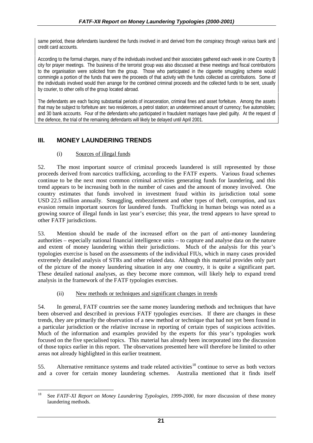same period, these defendants laundered the funds involved in and derived from the conspiracy through various bank and credit card accounts.

According to the formal charges, many of the individuals involved and their associates gathered each week in one Country B city for prayer meetings. The business of the terrorist group was also discussed at these meetings and fiscal contributions to the organisation were solicited from the group. Those who participated in the cigarette smuggling scheme would commingle a portion of the funds that were the proceeds of that activity with the funds collected as contributions. Some of the individuals involved would then arrange for the combined criminal proceeds and the collected funds to be sent, usually by courier, to other cells of the group located abroad.

The defendants are each facing substantial periods of incarceration, criminal fines and asset forfeiture. Among the assets that may be subject to forfeiture are: two residences, a petrol station; an undetermined amount of currency; five automobiles; and 30 bank accounts. Four of the defendants who participated in fraudulent marriages have pled guilty. At the request of the defence, the trial of the remaining defendants will likely be delayed until April 2001.

# **III. MONEY LAUNDERING TRENDS**

### (i) Sources of illegal funds

52. The most important source of criminal proceeds laundered is still represented by those proceeds derived from narcotics trafficking, according to the FATF experts. Various fraud schemes continue to be the next most common criminal activities generating funds for laundering, and this trend appears to be increasing both in the number of cases and the amount of money involved. One country estimates that funds involved in investment fraud within its jurisdiction total some USD 22.5 million annually. Smuggling, embezzlement and other types of theft, corruption, and tax evasion remain important sources for laundered funds. Trafficking in human beings was noted as a growing source of illegal funds in last year's exercise; this year, the trend appears to have spread to other FATF jurisdictions.

53. Mention should be made of the increased effort on the part of anti-money laundering authorities – especially national financial intelligence units – to capture and analyse data on the nature and extent of money laundering within their jurisdictions. Much of the analysis for this year's typologies exercise is based on the assessments of the individual FIUs, which in many cases provided extremely detailed analysis of STRs and other related data. Although this material provides only part of the picture of the money laundering situation in any one country, it is quite a significant part. These detailed national analyses, as they become more common, will likely help to expand trend analysis in the framework of the FATF typologies exercises.

## (ii) New methods or techniques and significant changes in trends

54. In general, FATF countries see the same money laundering methods and techniques that have been observed and described in previous FATF typologies exercises. If there are changes in these trends, they are primarily the observation of a new method or technique that had not yet been found in a particular jurisdiction or the relative increase in reporting of certain types of suspicious activities. Much of the information and examples provided by the experts for this year's typologies work focused on the five specialised topics. This material has already been incorporated into the discussion of those topics earlier in this report. The observations presented here will therefore be limited to other areas not already highlighted in this earlier treatment.

55. Alternative remittance systems and trade related activities<sup>18</sup> continue to serve as both vectors and a cover for certain money laundering schemes. Australia mentioned that it finds itself

<sup>18</sup> 18 See *FATF-XI Report on Money Laundering Typologies, 1999-2000,* for more discussion of these money laundering methods.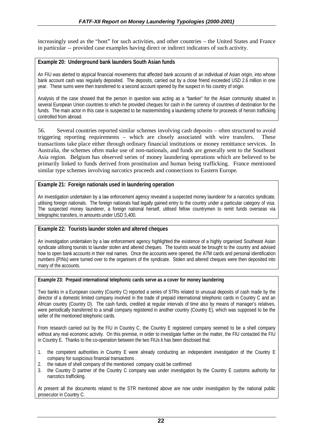increasingly used as the "host" for such activities, and other countries – the United States and France in particular -- provided case examples having direct or indirect indicators of such activity.

#### **Example 20: Underground bank launders South Asian funds**

An FIU was alerted to atypical financial movements that affected bank accounts of an individual of Asian origin, into whose bank account cash was regularly deposited. The deposits, carried out by a close friend exceeded USD 2.6 million in one year. These sums were then transferred to a second account opened by the suspect in his country of origin.

Analysis of the case showed that the person in question was acting as a "banker" for the Asian community situated in several European Union countries to which he provided cheques for cash in the currency of countries of destination for the funds. The main actor in this case is suspected to be masterminding a laundering scheme for proceeds of heroin trafficking controlled from abroad.

56. Several countries reported similar schemes involving cash deposits – often structured to avoid triggering reporting requirements – which are closely associated with wire transfers. These transactions take place either through ordinary financial institutions or money remittance services. In Australia, the schemes often make use of non-nationals, and funds are generally sent to the Southeast Asia region. Belgium has observed series of money laundering operations which are believed to be primarily linked to funds derived from prostitution and human being trafficking. France mentioned similar type schemes involving narcotics proceeds and connections to Eastern Europe.

#### **Example 21: Foreign nationals used in laundering operation**

An investigation undertaken by a law enforcement agency revealed a suspected money launderer for a narcotics syndicate, utilising foreign nationals. The foreign nationals had legally gained entry to the country under a particular category of visa. The suspected money launderer, a foreign national herself, utilised fellow countrymen to remit funds overseas via telegraphic transfers, in amounts under USD 5,400.

## **Example 22: Tourists launder stolen and altered cheques**

An investigation undertaken by a law enforcement agency highlighted the existence of a highly organised Southeast Asian syndicate utilising tourists to launder stolen and altered cheques. The tourists would be brought to the country and advised how to open bank accounts in their real names. Once the accounts were opened, the ATM cards and personal identification numbers (PINs) were turned over to the organisers of the syndicate. Stolen and altered cheques were then deposited into many of the accounts.

#### **Example 23: Prepaid international telephonic cards serve as a cover for money laundering**

Two banks in a European country (Country C) reported a series of STRs related to unusual deposits of cash made by the director of a domestic limited company involved in the trade of prepaid international telephonic cards in Country C and an African country (Country D). The cash funds, credited at regular intervals of time also by means of manager's relatives, were periodically transferred to a small company registered in another country (Country E), which was supposed to be the seller of the mentioned telephonic cards.

From research carried out by the FIU in Country C, the Country E registered company seemed to be a shell company without any real economic activity. On this premise, in order to investigate further on the matter, the FIU contacted the FIU in Country E. Thanks to the co-operation between the two FIUs it has been disclosed that:

- 1. the competent authorities in Country E were already conducting an independent investigation of the Country E company for suspicious financial transactions .
- 2. the nature of shell company of the mentioned company could be confirmed
- 3. the Country D partner of the Country C company was under investigation by the Country E customs authority for narcotics trafficking.

At present all the documents related to the STR mentioned above are now under investigation by the national public prosecutor in Country C.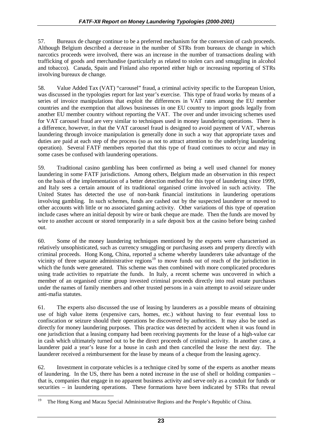57. Bureaux de change continue to be a preferred mechanism for the conversion of cash proceeds. Although Belgium described a decrease in the number of STRs from bureaux de change in which narcotics proceeds were involved, there was an increase in the number of transactions dealing with trafficking of goods and merchandise (particularly as related to stolen cars and smuggling in alcohol and tobacco). Canada, Spain and Finland also reported either high or increasing reporting of STRs involving bureaux de change.

58. Value Added Tax (VAT) "carousel" fraud, a criminal activity specific to the European Union, was discussed in the typologies report for last year's exercise. This type of fraud works by means of a series of invoice manipulations that exploit the differences in VAT rates among the EU member countries and the exemption that allows businesses in one EU country to import goods legally from another EU member country without reporting the VAT. The over and under invoicing schemes used for VAT carousel fraud are very similar to techniques used in money laundering operations. There is a difference, however, in that the VAT carousel fraud is designed to avoid payment of VAT, whereas laundering through invoice manipulation is generally done in such a way that appropriate taxes and duties are paid at each step of the process (so as not to attract attention to the underlying laundering operation). Several FATF members reported that this type of fraud continues to occur and may in some cases be confused with laundering operations.

59. Traditional casino gambling has been confirmed as being a well used channel for money laundering in some FATF jurisdictions. Among others, Belgium made an observation in this respect on the basis of the implementation of a better detection method for this type of laundering since 1999, and Italy sees a certain amount of its traditional organised crime involved in such activity. The United States has detected the use of non-bank financial institutions in laundering operations involving gambling. In such schemes, funds are cashed out by the suspected launderer or moved to other accounts with little or no associated gaming activity. Other variations of this type of operation include cases where an initial deposit by wire or bank cheque are made. Then the funds are moved by wire to another account or stored temporarily in a safe deposit box at the casino before being cashed out.

60. Some of the money laundering techniques mentioned by the experts were characterised as relatively unsophisticated, such as currency smuggling or purchasing assets and property directly with criminal proceeds. Hong Kong, China, reported a scheme whereby launderers take advantage of the vicinity of three separate administrative regions<sup>19</sup> to move funds out of reach of the jurisdiction in which the funds were generated. This scheme was then combined with more complicated procedures using trade activities to repatriate the funds. In Italy, a recent scheme was uncovered in which a member of an organised crime group invested criminal proceeds directly into real estate purchases under the names of family members and other trusted persons in a vain attempt to avoid seizure under anti-mafia statutes.

61. The experts also discussed the use of leasing by launderers as a possible means of obtaining use of high value items (expensive cars, homes, etc.) without having to fear eventual loss to confiscation or seizure should their operations be discovered by authorities. It may also be used as directly for money laundering purposes. This practice was detected by accident when it was found in one jurisdiction that a leasing company had been receiving payments for the lease of a high-value car in cash which ultimately turned out to be the direct proceeds of criminal activity. In another case, a launderer paid a year's lease for a house in cash and then cancelled the lease the next day. The launderer received a reimbursement for the lease by means of a cheque from the leasing agency.

62. Investment in corporate vehicles is a technique cited by some of the experts as another means of laundering. In the US, there has been a noted increase in the use of shell or holding companies – that is, companies that engage in no apparent business activity and serve only as a conduit for funds or securities – in laundering operations. These formations have been indicated by STRs that reveal

<sup>19</sup> 19 The Hong Kong and Macau Special Administrative Regions and the People's Republic of China.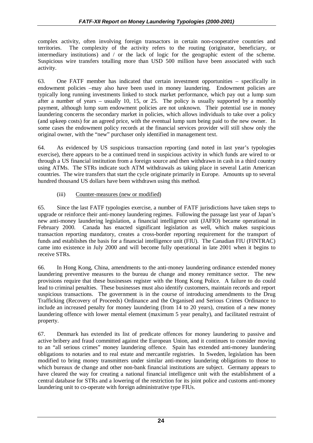complex activity, often involving foreign transactors in certain non-cooperative countries and territories. The complexity of the activity refers to the routing (originator, beneficiary, or intermediary institutions) and / or the lack of logic for the geographic extent of the scheme. Suspicious wire transfers totalling more than USD 500 million have been associated with such activity.

63. One FATF member has indicated that certain investment opportunities – specifically in endowment policies –may also have been used in money laundering. Endowment policies are typically long running investments linked to stock market performance, which pay out a lump sum after a number of years – usually 10, 15, or 25. The policy is usually supported by a monthly payment, although lump sum endowment policies are not unknown. Their potential use in money laundering concerns the secondary market in policies, which allows individuals to take over a policy (and upkeep costs) for an agreed price, with the eventual lump sum being paid to the new owner. In some cases the endowment policy records at the financial services provider will still show only the original owner, with the "new" purchaser only identified in management text.

64. As evidenced by US suspicious transaction reporting (and noted in last year's typologies exercise), there appears to be a continued trend in suspicious activity in which funds are wired to or through a US financial institution from a foreign source and then withdrawn in cash in a third country using ATMs. The STRs indicate such ATM withdrawals as taking place in several Latin American countries. The wire transfers that start the cycle originate primarily in Europe. Amounts up to several hundred thousand US dollars have been withdrawn using this method.

## (iii) Counter-measures (new or modified)

65. Since the last FATF typologies exercise, a number of FATF jurisdictions have taken steps to upgrade or reinforce their anti-money laundering regimes. Following the passage last year of Japan's new anti-money laundering legislation, a financial intelligence unit (JAFIO) became operational in February 2000. Canada has enacted significant legislation as well, which makes suspicious transaction reporting mandatory, creates a cross-border reporting requirement for the transport of funds and establishes the basis for a financial intelligence unit (FIU). The Canadian FIU (FINTRAC) came into existence in July 2000 and will become fully operational in late 2001 when it begins to receive STRs.

66. In Hong Kong, China, amendments to the anti-money laundering ordinance extended money laundering preventive measures to the bureau de change and money remittance sector. The new provisions require that these businesses register with the Hong Kong Police. A failure to do could lead to criminal penalties. These businesses must also identify customers, maintain records and report suspicious transactions. The government is in the course of introducing amendments to the Drug Trafficking (Recovery of Proceeds) Ordinance and the Organised and Serious Crimes Ordinance to include an increased penalty for money laundering (from 14 to 20 years), creation of a new money laundering offence with lower mental element (maximum 5 year penalty), and facilitated restraint of property.

67. Denmark has extended its list of predicate offences for money laundering to passive and active bribery and fraud committed against the European Union, and it continues to consider moving to an "all serious crimes" money laundering offence. Spain has extended anti-money laundering obligations to notaries and to real estate and mercantile registries. In Sweden, legislation has been modified to bring money transmitters under similar anti-money laundering obligations to those to which bureaux de change and other non-bank financial institutions are subject. Germany appears to have cleared the way for creating a national financial intelligence unit with the establishment of a central database for STRs and a lowering of the restriction for its joint police and customs anti-money laundering unit to co-operate with foreign administrative type FIUs.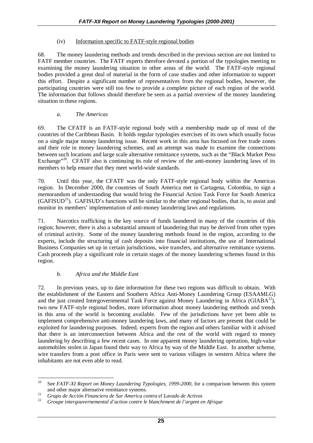#### (iv) Information specific to FATF-style regional bodies

68. The money laundering methods and trends described in the previous section are not limited to FATF member countries. The FATF experts therefore devoted a portion of the typologies meeting to examining the money laundering situation in other areas of the world. The FATF-style regional bodies provided a great deal of material in the form of case studies and other information to support this effort. Despite a significant number of representatives from the regional bodies, however, the participating countries were still too few to provide a complete picture of each region of the world. The information that follows should therefore be seen as a partial overview of the money laundering situation in these regions.

## *a. The Americas*

69. The CFATF is an FATF-style regional body with a membership made up of most of the countries of the Caribbean Basin. It holds regular typologies exercises of its own which usually focus on a single major money laundering issue. Recent work in this area has focused on free trade zones and their role in money laundering schemes, and an attempt was made to examine the connections between such locations and large scale alternative remittance systems, such as the "Black Market Peso Exchange<sup>"20</sup>. CFATF also is continuing its role of review of the anti-money laundering laws of its members to help ensure that they meet world-wide standards.

70. Until this year, the CFATF was the only FATF-style regional body within the Americas region. In December 2000, the countries of South America met in Cartagena, Colombia, to sign a memorandum of understanding that would bring the Financial Action Task Force for South America  $(GAFISUD<sup>21</sup>)$ . GAFISUD's functions will be similar to the other regional bodies, that is, to assist and monitor its members' implementation of anti-money laundering laws and regulations.

71. Narcotics trafficking is the key source of funds laundered in many of the countries of this region; however, there is also a substantial amount of laundering that may be derived from other types of criminal activity. Some of the money laundering methods found in the region, according to the experts, include the structuring of cash deposits into financial institutions, the use of International Business Companies set up in certain jurisdictions, wire transfers, and alternative remittance systems. Cash proceeds play a significant role in certain stages of the money laundering schemes found in this region.

## *b. Africa and the Middle East*

72. In previous years, up to date information for these two regions was difficult to obtain. With the establishment of the Eastern and Southern Africa Anti-Money Laundering Group (ESAAMLG) and the just created Intergovernmental Task Force against Money Laundering in Africa (GIAB $A^{22}$ ), two new FATF-style regional bodies, more information about money laundering methods and trends in this area of the world is becoming available. Few of the jurisdictions have yet been able to implement comprehensive anti-money laundering laws, and many of factors are present that could be exploited for laundering purposes. Indeed, experts from the region and others familiar with it advised that there is an interconnection between Africa and the rest of the world with regard to money laundering by describing a few recent cases. In one apparent money laundering operation, high-value automobiles stolen in Japan found their way to Africa by way of the Middle East. In another scheme, wire transfers from a post office in Paris were sent to various villages in western Africa where the inhabitants are not even able to read.

 $20$ *<sup>20</sup>* See *FATF-XI Report on Money Laundering Typologies, 1999-2000*, for a comparison between this system and other major alternative remittance systems. <sup>21</sup> *Grupo de Acción Financiera de Sur America contra el Lavado de Activos* <sup>22</sup> *Groupe intergouvernemental d'action contre le blanchiment de l'argent en Afrique*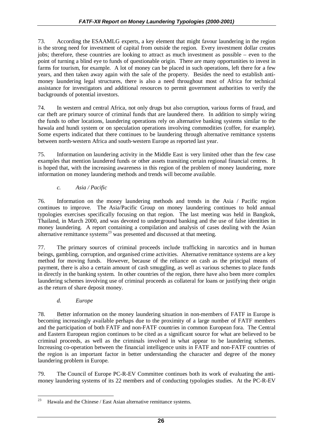73. According the ESAAMLG experts, a key element that might favour laundering in the region is the strong need for investment of capital from outside the region. Every investment dollar creates jobs; therefore, these countries are looking to attract as much investment as possible – even to the point of turning a blind eye to funds of questionable origin. There are many opportunities to invest in farms for tourism, for example. A lot of money can be placed in such operations, left there for a few years, and then taken away again with the sale of the property. Besides the need to establish antimoney laundering legal structures, there is also a need throughout most of Africa for technical assistance for investigators and additional resources to permit government authorities to verify the backgrounds of potential investors.

74. In western and central Africa, not only drugs but also corruption, various forms of fraud, and car theft are primary source of criminal funds that are laundered there. In addition to simply wiring the funds to other locations, laundering operations rely on alternative banking systems similar to the hawala and hundi system or on speculation operations involving commodities (coffee, for example). Some experts indicated that there continues to be laundering through alternative remittance systems between north-western Africa and south-western Europe as reported last year.

75. Information on laundering activity in the Middle East is very limited other than the few case examples that mention laundered funds or other assets transiting certain regional financial centres. It is hoped that, with the increasing awareness in this region of the problem of money laundering, more information on money laundering methods and trends will become available.

## *c. Asia / Pacific*

76. Information on the money laundering methods and trends in the Asia / Pacific region continues to improve. The Asia/Pacific Group on money laundering continues to hold annual typologies exercises specifically focusing on that region. The last meeting was held in Bangkok, Thailand, in March 2000, and was devoted to underground banking and the use of false identities in money laundering. A report containing a compilation and analysis of cases dealing with the Asian alternative remittance systems $^{23}$  was presented and discussed at that meeting.

77. The primary sources of criminal proceeds include trafficking in narcotics and in human beings, gambling, corruption, and organised crime activities. Alternative remittance systems are a key method for moving funds. However, because of the reliance on cash as the principal means of payment, there is also a certain amount of cash smuggling, as well as various schemes to place funds in directly in the banking system. In other countries of the region, there have also been more complex laundering schemes involving use of criminal proceeds as collateral for loans or justifying their origin as the return of share deposit money.

## *d. Europe*

78. Better information on the money laundering situation in non-members of FATF in Europe is becoming increasingly available perhaps due to the proximity of a large number of FATF members and the participation of both FATF and non-FATF countries in common European fora. The Central and Eastern European region continues to be cited as a significant source for what are believed to be criminal proceeds, as well as the criminals involved in what appear to be laundering schemes. Increasing co-operation between the financial intelligence units in FATF and non-FATF countries of the region is an important factor in better understanding the character and degree of the money laundering problem in Europe.

79. The Council of Europe PC-R-EV Committee continues both its work of evaluating the antimoney laundering systems of its 22 members and of conducting typologies studies. At the PC-R-EV

<sup>23</sup> Hawala and the Chinese / East Asian alternative remittance systems.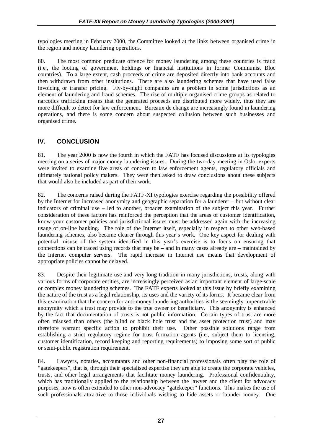typologies meeting in February 2000, the Committee looked at the links between organised crime in the region and money laundering operations.

80. The most common predicate offence for money laundering among these countries is fraud (i.e., the looting of government holdings or financial institutions in former Communist Bloc countries). To a large extent, cash proceeds of crime are deposited directly into bank accounts and then withdrawn from other institutions. There are also laundering schemes that have used false invoicing or transfer pricing. Fly-by-night companies are a problem in some jurisdictions as an element of laundering and fraud schemes. The rise of multiple organised crime groups as related to narcotics trafficking means that the generated proceeds are distributed more widely, thus they are more difficult to detect for law enforcement. Bureaux de change are increasingly found in laundering operations, and there is some concern about suspected collusion between such businesses and organised crime.

# **IV. CONCLUSION**

81. The year 2000 is now the fourth in which the FATF has focused discussions at its typologies meeting on a series of major money laundering issues. During the two-day meeting in Oslo, experts were invited to examine five areas of concern to law enforcement agents, regulatory officials and ultimately national policy makers. They were then asked to draw conclusions about these subjects that would also be included as part of their work.

82. The concerns raised during the FATF-XI typologies exercise regarding the possibility offered by the Internet for increased anonymity and geographic separation for a launderer – but without clear indicators of criminal use – led to another, broader examination of the subject this year. Further consideration of these factors has reinforced the perception that the areas of customer identification, know your customer policies and jurisdictional issues must be addressed again with the increasing usage of on-line banking. The role of the Internet itself, especially in respect to other web-based laundering schemes, also became clearer through this year's work. One key aspect for dealing with potential misuse of the system identified in this year's exercise is to focus on ensuring that connections can be traced using records that may be – and in many cases already are – maintained by the Internet computer servers. The rapid increase in Internet use means that development of appropriate policies cannot be delayed.

83. Despite their legitimate use and very long tradition in many jurisdictions, trusts, along with various forms of corporate entities, are increasingly perceived as an important element of large-scale or complex money laundering schemes. The FATF experts looked at this issue by briefly examining the nature of the trust as a legal relationship, its uses and the variety of its forms. It became clear from this examination that the concern for anti-money laundering authorities is the seemingly impenetrable anonymity which a trust may provide to the true owner or beneficiary. This anonymity is enhanced by the fact that documentation of trusts is not public information. Certain types of trust are more often misused than others (the blind or black hole trust and the asset protection trust) and may therefore warrant specific action to prohibit their use. Other possible solutions range from establishing a strict regulatory regime for trust formation agents (i.e., subject them to licensing, customer identification, record keeping and reporting requirements) to imposing some sort of public or semi-public registration requirement.

84. Lawyers, notaries, accountants and other non-financial professionals often play the role of "gatekeepers", that is, through their specialised expertise they are able to create the corporate vehicles, trusts, and other legal arrangements that facilitate money laundering. Professional confidentiality, which has traditionally applied to the relationship between the lawyer and the client for advocacy purposes, now is often extended to other non-advocacy "gatekeeper" functions. This makes the use of such professionals attractive to those individuals wishing to hide assets or launder money. One